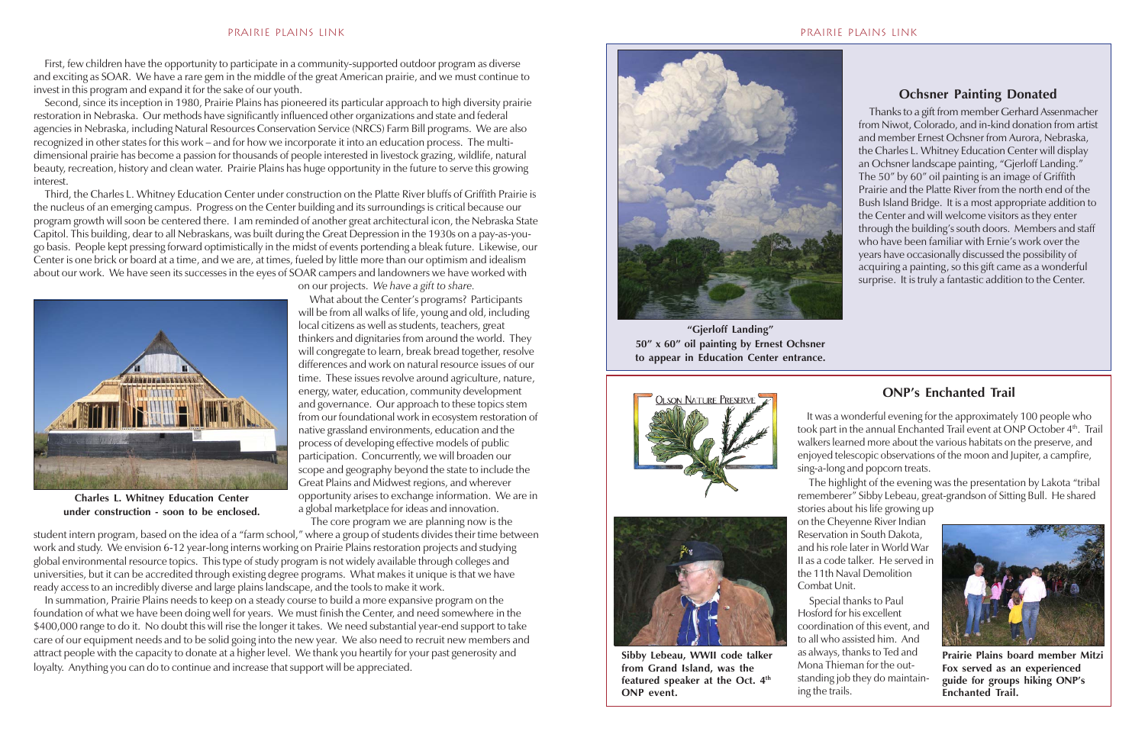First, few children have the opportunity to participate in a community-supported outdoor program as diverse and exciting as SOAR. We have a rare gem in the middle of the great American prairie, and we must continue to invest in this program and expand it for the sake of our youth.

 Second, since its inception in 1980, Prairie Plains has pioneered its particular approach to high diversity prairie restoration in Nebraska. Our methods have significantly influenced other organizations and state and federal agencies in Nebraska, including Natural Resources Conservation Service (NRCS) Farm Bill programs. We are also recognized in other states for this work – and for how we incorporate it into an education process. The multidimensional prairie has become a passion for thousands of people interested in livestock grazing, wildlife, natural beauty, recreation, history and clean water. Prairie Plains has huge opportunity in the future to serve this growing interest.

**Marci Epp** Third, the Charles L. Whitney Education Center under construction on the Platte River bluffs of Griffith Prairie is the nucleus of an emerging campus. Progress on the Center building and its surroundings is critical because our program growth will soon be centered there. I am reminded of another great architectural icon, the Nebraska State Capitol. This building, dear to all Nebraskans, was built during the Great Depression in the 1930s on a pay-as-yougo basis. People kept pressing forward optimistically in the midst of events portending a bleak future. Likewise, our Center is one brick or board at a time, and we are, at times, fueled by little more than our optimism and idealism about our work. We have seen its successes in the eyes of SOAR campers and landowners we have worked with

on our projects. *We have a gift to share.*

 What about the Center's programs? Participants will be from all walks of life, young and old, including local citizens as well as students, teachers, great thinkers and dignitaries from around the world. They will congregate to learn, break bread together, resolve differences and work on natural resource issues of our time. These issues revolve around agriculture, nature, energy, water, education, community development and governance. Our approach to these topics stem from our foundational work in ecosystem restoration of native grassland environments, education and the process of developing effective models of public participation. Concurrently, we will broaden our scope and geography beyond the state to include the Great Plains and Midwest regions, and wherever opportunity arises to exchange information. We are in a global marketplace for ideas and innovation.

The core program we are planning now is the

student intern program, based on the idea of a "farm school," where a group of students divides their time between work and study. We envision 6-12 year-long interns working on Prairie Plains restoration projects and studying global environmental resource topics. This type of study program is not widely available through colleges and universities, but it can be accredited through existing degree programs. What makes it unique is that we have ready access to an incredibly diverse and large plains landscape, and the tools to make it work.

 In summation, Prairie Plains needs to keep on a steady course to build a more expansive program on the foundation of what we have been doing well for years. We must finish the Center, and need somewhere in the \$400,000 range to do it. No doubt this will rise the longer it takes. We need substantial year-end support to take care of our equipment needs and to be solid going into the new year. We also need to recruit new members and attract people with the capacity to donate at a higher level. We thank you heartily for your past generosity and loyalty. Anything you can do to continue and increase that support will be appreciated.



**"Gjerloff Landing" 50" x 60" oil painting by Ernest Ochsner to appear in Education Center entrance.**



 Thanks to a gift from member Gerhard Assenmacher from Niwot, Colorado, and in-kind donation from artist and member Ernest Ochsner from Aurora, Nebraska, the Charles L. Whitney Education Center will display an Ochsner landscape painting, "Gjerloff Landing." The 50" by 60" oil painting is an image of Griffith Prairie and the Platte River from the north end of the Bush Island Bridge. It is a most appropriate addition to the Center and will welcome visitors as they enter through the building's south doors. Members and staff who have been familiar with Ernie's work over the years have occasionally discussed the possibility of acquiring a painting, so this gift came as a wonderful surprise. It is truly a fantastic addition to the Center.

## **Ochsner Painting Donated**



**Charles L. Whitney Education Center under construction - soon to be enclosed.**

 It was a wonderful evening for the approximately 100 people who took part in the annual Enchanted Trail event at ONP October 4<sup>th</sup>. Trail walkers learned more about the various habitats on the preserve, and enjoyed telescopic observations of the moon and Jupiter, a campfire, sing-a-long and popcorn treats.

 The highlight of the evening was the presentation by Lakota "tribal rememberer" Sibby Lebeau, great-grandson of Sitting Bull. He shared

stories about his life growing up on the Cheyenne River Indian Reservation in South Dakota, and his role later in World War II as a code talker. He served in the 11th Naval Demolition

Combat Unit.

# **ONP's Enchanted Trail**



**Sibby Lebeau, WWII code talker from Grand Island, was the featured speaker at the Oct. 4th ONP event.**



**Prairie Plains board member Mitzi Fox served as an experienced guide for groups hiking ONP's Enchanted Trail.**

 Special thanks to Paul Hosford for his excellent coordination of this event, and to all who assisted him. And as always, thanks to Ted and Mona Thieman for the outstanding job they do maintaining the trails.